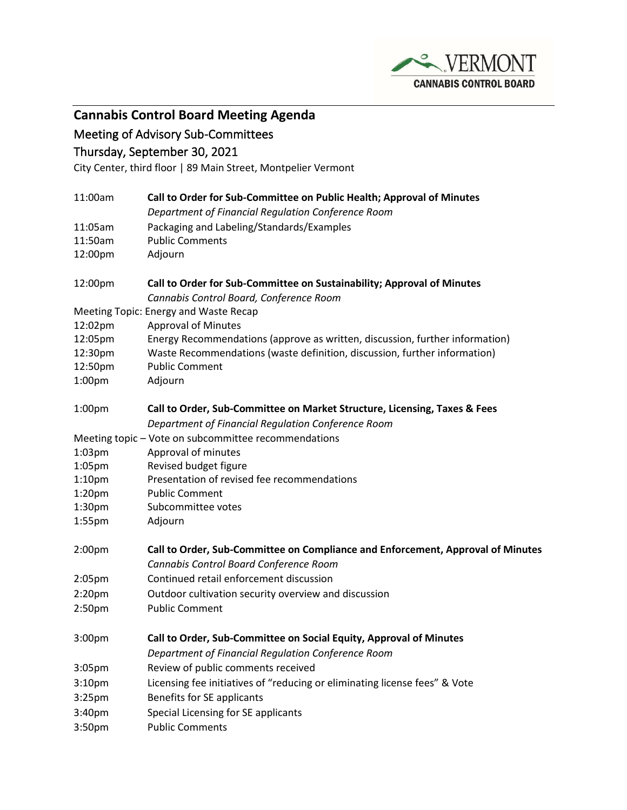

**Cannabis Control Board Meeting Agenda**

## Meeting of Advisory Sub-Committees

## Thursday, September 30, 2021

City Center, third floor | 89 Main Street, Montpelier Vermont

| 11:00am                               | Call to Order for Sub-Committee on Public Health; Approval of Minutes                                                           |
|---------------------------------------|---------------------------------------------------------------------------------------------------------------------------------|
|                                       | Department of Financial Regulation Conference Room                                                                              |
| 11:05am                               | Packaging and Labeling/Standards/Examples                                                                                       |
| 11:50am                               | <b>Public Comments</b>                                                                                                          |
| 12:00pm                               | Adjourn                                                                                                                         |
| 12:00pm                               | Call to Order for Sub-Committee on Sustainability; Approval of Minutes<br>Cannabis Control Board, Conference Room               |
| Meeting Topic: Energy and Waste Recap |                                                                                                                                 |
| 12:02pm                               | <b>Approval of Minutes</b>                                                                                                      |
| 12:05pm                               | Energy Recommendations (approve as written, discussion, further information)                                                    |
| 12:30pm                               | Waste Recommendations (waste definition, discussion, further information)                                                       |
| 12:50pm                               | <b>Public Comment</b>                                                                                                           |
| 1:00pm                                | Adjourn                                                                                                                         |
| 1:00 <sub>pm</sub>                    | Call to Order, Sub-Committee on Market Structure, Licensing, Taxes & Fees<br>Department of Financial Regulation Conference Room |
|                                       | Meeting topic - Vote on subcommittee recommendations                                                                            |
| $1:03$ pm                             | Approval of minutes                                                                                                             |
| $1:05$ pm                             | Revised budget figure                                                                                                           |
| 1:10 <sub>pm</sub>                    | Presentation of revised fee recommendations                                                                                     |
| 1:20 <sub>pm</sub>                    | <b>Public Comment</b>                                                                                                           |
| 1:30 <sub>pm</sub>                    | Subcommittee votes                                                                                                              |
| $1:55$ pm                             | Adjourn                                                                                                                         |
| 2:00 <sub>pm</sub>                    | Call to Order, Sub-Committee on Compliance and Enforcement, Approval of Minutes<br>Cannabis Control Board Conference Room       |
| 2:05 <sub>pm</sub>                    | Continued retail enforcement discussion                                                                                         |
| 2:20 <sub>pm</sub>                    | Outdoor cultivation security overview and discussion                                                                            |
| 2:50pm                                | <b>Public Comment</b>                                                                                                           |
| 3:00pm                                | Call to Order, Sub-Committee on Social Equity, Approval of Minutes<br>Department of Financial Regulation Conference Room        |
| 3:05 <sub>pm</sub>                    | Review of public comments received                                                                                              |
| 3:10pm                                | Licensing fee initiatives of "reducing or eliminating license fees" & Vote                                                      |
| 3:25 <sub>pm</sub>                    | Benefits for SE applicants                                                                                                      |
| 3:40pm                                | Special Licensing for SE applicants                                                                                             |
| 3:50pm                                | <b>Public Comments</b>                                                                                                          |
|                                       |                                                                                                                                 |